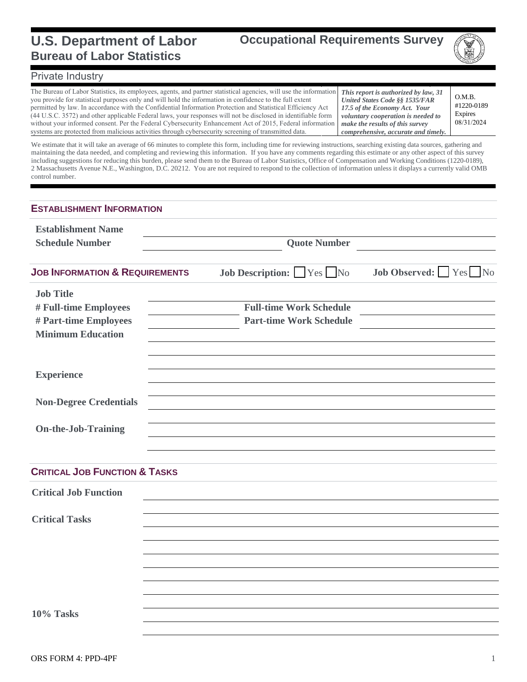### **U.S. Department of Labor Bureau of Labor Statistics**



#### Private Industry

The Bureau of Labor Statistics, its employees, agents, and partner statistical agencies, will use the information you provide for statistical purposes only and will hold the information in confidence to the full extent permitted by law. In accordance with the Confidential Information Protection and Statistical Efficiency Act (44 U.S.C. 3572) and other applicable Federal laws, your responses will not be disclosed in identifiable form without your informed consent. Per the Federal Cybersecurity Enhancement Act of 2015, Federal information systems are protected from malicious activities through cybersecurity screening of transmitted data.

*This report is authorized by law, 31 United States Code §§ 1535/FAR 17.5 of the Economy Act. Your voluntary cooperation is needed to make the results of this survey comprehensive, accurate and timely.*

O.M.B. #1220-0189 Expires 08/31/2024

We estimate that it will take an average of 66 minutes to complete this form, including time for reviewing instructions, searching existing data sources, gathering and maintaining the data needed, and completing and reviewing this information. If you have any comments regarding this estimate or any other aspect of this survey including suggestions for reducing this burden, please send them to the Bureau of Labor Statistics, Office of Compensation and Working Conditions (1220-0189), 2 Massachusetts Avenue N.E., Washington, D.C. 20212. You are not required to respond to the collection of information unless it displays a currently valid OMB control number.

| <b>ESTABLISHMENT INFORMATION</b>                                                               |                     |                                                                  |                      |  |  |  |  |
|------------------------------------------------------------------------------------------------|---------------------|------------------------------------------------------------------|----------------------|--|--|--|--|
| <b>Establishment Name</b><br><b>Schedule Number</b>                                            | <b>Quote Number</b> |                                                                  |                      |  |  |  |  |
| <b>JOB INFORMATION &amp; REQUIREMENTS</b>                                                      |                     | <b>Job Description:</b> $\Box$ Yes $\Box$ No                     | Job Observed: Yes No |  |  |  |  |
| <b>Job Title</b><br># Full-time Employees<br># Part-time Employees<br><b>Minimum Education</b> |                     | <b>Full-time Work Schedule</b><br><b>Part-time Work Schedule</b> |                      |  |  |  |  |
| <b>Experience</b>                                                                              |                     |                                                                  |                      |  |  |  |  |
| <b>Non-Degree Credentials</b>                                                                  |                     |                                                                  |                      |  |  |  |  |
| <b>On-the-Job-Training</b>                                                                     |                     |                                                                  |                      |  |  |  |  |
| <b>CRITICAL JOB FUNCTION &amp; TASKS</b>                                                       |                     |                                                                  |                      |  |  |  |  |
| <b>Critical Job Function</b>                                                                   |                     |                                                                  |                      |  |  |  |  |
| <b>Critical Tasks</b>                                                                          |                     |                                                                  |                      |  |  |  |  |
|                                                                                                |                     |                                                                  |                      |  |  |  |  |
|                                                                                                |                     |                                                                  |                      |  |  |  |  |
|                                                                                                |                     |                                                                  |                      |  |  |  |  |
|                                                                                                |                     |                                                                  |                      |  |  |  |  |
|                                                                                                |                     |                                                                  |                      |  |  |  |  |
| 10% Tasks                                                                                      |                     |                                                                  |                      |  |  |  |  |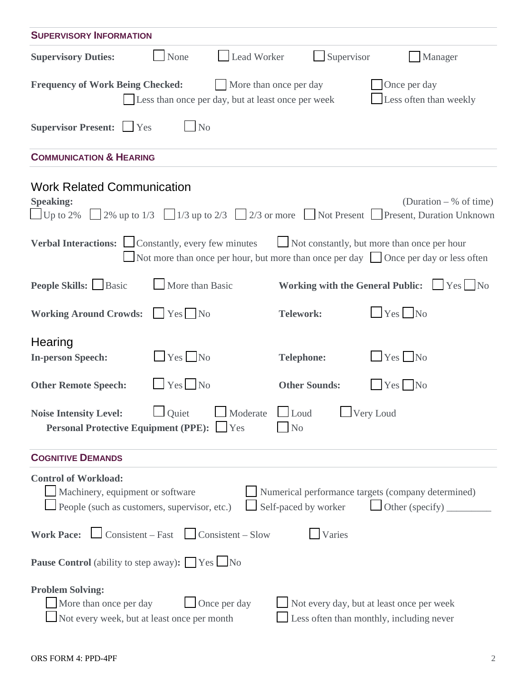| <b>SUPERVISORY INFORMATION</b>                                                                                                                                                                                                           |                      |                                                                                                                                   |  |  |  |  |  |  |
|------------------------------------------------------------------------------------------------------------------------------------------------------------------------------------------------------------------------------------------|----------------------|-----------------------------------------------------------------------------------------------------------------------------------|--|--|--|--|--|--|
| Lead Worker<br><b>Supervisory Duties:</b><br>None                                                                                                                                                                                        | Supervisor           | Manager                                                                                                                           |  |  |  |  |  |  |
| Once per day<br><b>Frequency of Work Being Checked:</b><br>More than once per day<br>Less often than weekly<br>Less than once per day, but at least once per week                                                                        |                      |                                                                                                                                   |  |  |  |  |  |  |
| Supervisor Present: Ves<br>N <sub>o</sub>                                                                                                                                                                                                |                      |                                                                                                                                   |  |  |  |  |  |  |
| <b>COMMUNICATION &amp; HEARING</b>                                                                                                                                                                                                       |                      |                                                                                                                                   |  |  |  |  |  |  |
| <b>Work Related Communication</b><br><b>Speaking:</b><br>Up to 2% 2% up to 1/3 $\Box$ 1/3 up to 2/3 $\Box$ 2/3 or more $\Box$ Not Present $\Box$ Present, Duration Unknown                                                               |                      | (Duration $-$ % of time)                                                                                                          |  |  |  |  |  |  |
| <b>Verbal Interactions:</b> Constantly, every few minutes                                                                                                                                                                                |                      | Not constantly, but more than once per hour<br>Not more than once per hour, but more than once per day Once per day or less often |  |  |  |  |  |  |
| <b>People Skills:</b> Basic<br>More than Basic                                                                                                                                                                                           |                      | Working with the General Public: Ves No                                                                                           |  |  |  |  |  |  |
| <b>Working Around Crowds:</b><br>Yes No                                                                                                                                                                                                  | <b>Telework:</b>     | $Yes$ No                                                                                                                          |  |  |  |  |  |  |
| Hearing<br>$Yes$ No<br><b>In-person Speech:</b>                                                                                                                                                                                          | <b>Telephone:</b>    | $Yes$ No                                                                                                                          |  |  |  |  |  |  |
| $Yes$ No<br><b>Other Remote Speech:</b>                                                                                                                                                                                                  | <b>Other Sounds:</b> | $Yes$ No                                                                                                                          |  |  |  |  |  |  |
| Quiet Moderate Loud Very Loud<br><b>Noise Intensity Level:</b><br><b>Personal Protective Equipment (PPE):</b> Tes<br>N <sub>0</sub>                                                                                                      |                      |                                                                                                                                   |  |  |  |  |  |  |
| <b>COGNITIVE DEMANDS</b>                                                                                                                                                                                                                 |                      |                                                                                                                                   |  |  |  |  |  |  |
| <b>Control of Workload:</b><br>Machinery, equipment or software<br>Numerical performance targets (company determined)<br>People (such as customers, supervisor, etc.)<br>Self-paced by worker<br>Other (specify) $\frac{1}{\sqrt{2\pi}}$ |                      |                                                                                                                                   |  |  |  |  |  |  |
| <b>Work Pace:</b> $\Box$ Consistent – Fast $\Box$ Consistent – Slow<br>Varies                                                                                                                                                            |                      |                                                                                                                                   |  |  |  |  |  |  |
| <b>Pause Control</b> (ability to step away): <u>Ves No</u>                                                                                                                                                                               |                      |                                                                                                                                   |  |  |  |  |  |  |
| <b>Problem Solving:</b><br>Once per day<br>More than once per day<br>Not every week, but at least once per month                                                                                                                         |                      | Not every day, but at least once per week<br>Less often than monthly, including never                                             |  |  |  |  |  |  |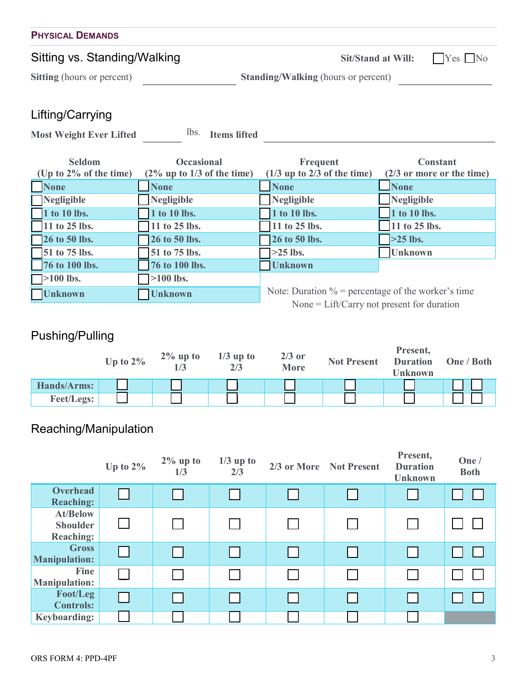| <b>PHYSICAL DEMANDS</b>           |                                            |                      |  |  |  |  |  |
|-----------------------------------|--------------------------------------------|----------------------|--|--|--|--|--|
| Sitting vs. Standing/Walking      | <b>Sit/Stand at Will:</b>                  | $\mid$ Yes $\mid$ No |  |  |  |  |  |
| <b>Sitting</b> (hours or percent) | <b>Standing/Walking (hours or percent)</b> |                      |  |  |  |  |  |
| $l$ ifting $l$ carning            |                                            |                      |  |  |  |  |  |

#### Lifting/Carrying

Most Weight Ever Lifted **lbs.** Items lifted

| <b>Seldom</b>             | <b>Occasional</b>             | Frequent                                              | <b>Constant</b>              |
|---------------------------|-------------------------------|-------------------------------------------------------|------------------------------|
| (Up to $2\%$ of the time) | $(2\%$ up to 1/3 of the time) | $(1/3$ up to 2/3 of the time)                         | $(2/3)$ or more or the time) |
| <b>None</b>               | <b>None</b>                   | <b>None</b>                                           | <b>None</b>                  |
| Negligible                | Negligible                    | Negligible                                            | Negligible                   |
| 1 to 10 lbs.              | 1 to 10 lbs.                  | 1 to 10 lbs.                                          | 1 to 10 lbs.                 |
| 11 to 25 lbs.             | 11 to 25 lbs.                 | 11 to 25 lbs.                                         | 11 to 25 lbs.                |
| <b>26 to 50 lbs.</b>      | 26 to 50 lbs.                 | 26 to 50 lbs.                                         | $>25$ lbs.                   |
| $\sqrt{51}$ to 75 lbs.    | 51 to 75 lbs.                 | $>25$ lbs.                                            | <b>Unknown</b>               |
| 76 to 100 lbs.            | 76 to 100 lbs.                | <b>Unknown</b>                                        |                              |
| $\Box$ >100 lbs.          | $\geq 100$ lbs.               |                                                       |                              |
| <b>Unknown</b>            | <b>Unknown</b>                | Note: Duration $\%$ = percentage of the worker's time |                              |
|                           |                               | None = $Lift/Carry$ not present for duration          |                              |

## Pushing/Pulling

|                   | Up to $2\%$ | $2\%$ up to | $1/3$ up to<br>2/3 | $2/3$ or<br><b>More</b> | <b>Not Present</b> | Present,<br><b>Duration</b><br>Unknown | One / Both |
|-------------------|-------------|-------------|--------------------|-------------------------|--------------------|----------------------------------------|------------|
| Hands/Arms:       |             |             |                    |                         |                    |                                        |            |
| <b>Feet/Legs:</b> |             |             |                    |                         |                    |                                        |            |

# Reaching/Manipulation

|                                                        | Up to $2\%$ | $2\%$ up to<br>1/3 | $1/3$ up to<br>2/3 | 2/3 or More Not Present | Present,<br><b>Duration</b><br><b>Unknown</b> | One $/$<br><b>Both</b> |
|--------------------------------------------------------|-------------|--------------------|--------------------|-------------------------|-----------------------------------------------|------------------------|
| <b>Overhead</b><br><b>Reaching:</b>                    |             |                    |                    |                         |                                               |                        |
| <b>At/Below</b><br><b>Shoulder</b><br><b>Reaching:</b> |             |                    |                    |                         |                                               |                        |
| <b>Gross</b><br><b>Manipulation:</b>                   |             |                    |                    |                         |                                               |                        |
| Fine<br><b>Manipulation:</b>                           |             |                    |                    |                         |                                               |                        |
| Foot/Leg<br><b>Controls:</b>                           |             |                    |                    |                         |                                               |                        |
| <b>Keyboarding:</b>                                    |             |                    |                    |                         |                                               |                        |